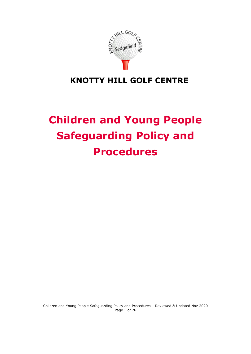

## **KNOTTY HILL GOLF CENTRE**

# **Children and Young People Safeguarding Policy and Procedures**

Children and Young People Safeguarding Policy and Procedures – Reviewed & Updated Nov 2020 Page 1 of 76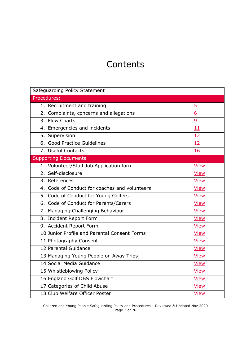# **Contents**

| Safeguarding Policy Statement                 |                |
|-----------------------------------------------|----------------|
| Procedures:                                   |                |
| 1. Recruitment and training                   | $\overline{5}$ |
| 2. Complaints, concerns and allegations       | 6              |
| 3. Flow Charts                                | $\overline{9}$ |
| 4. Emergencies and incidents                  | 11             |
| 5. Supervision                                | 12             |
| 6. Good Practice Guidelines                   | 12             |
| 7. Useful Contacts                            | 16             |
| <b>Supporting Documents</b>                   |                |
| 1. Volunteer/Staff Job Application form       | <b>View</b>    |
| 2. Self-disclosure                            | <b>View</b>    |
| 3. References                                 | <b>View</b>    |
| 4. Code of Conduct for coaches and volunteers | <b>View</b>    |
| 5. Code of Conduct for Young Golfers          | <b>View</b>    |
| 6. Code of Conduct for Parents/Carers         | <b>View</b>    |
| 7. Managing Challenging Behaviour             | <b>View</b>    |
| 8. Incident Report Form                       | <b>View</b>    |
| 9. Accident Report Form                       | <b>View</b>    |
| 10.Junior Profile and Parental Consent Forms  | <b>View</b>    |
| 11. Photography Consent                       | <b>View</b>    |
| 12. Parental Guidance                         | <b>View</b>    |
| 13. Managing Young People on Away Trips       | <b>View</b>    |
| 14. Social Media Guidance                     | <b>View</b>    |
| 15. Whistleblowing Policy                     | <b>View</b>    |
| 16. England Golf DBS Flowchart                | <b>View</b>    |
| 17. Categories of Child Abuse                 | <b>View</b>    |
| 18. Club Welfare Officer Poster               | <b>View</b>    |

Children and Young People Safeguarding Policy and Procedures – Reviewed & Updated Nov 2020 Page 2 of 76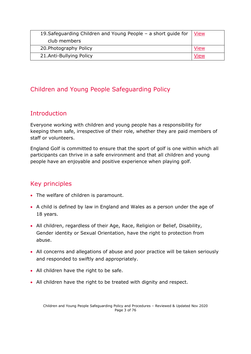| 19. Safeguarding Children and Young People - a short guide for | <b>View</b> |
|----------------------------------------------------------------|-------------|
| club members                                                   |             |
| 20. Photography Policy                                         | View        |
| 21.Anti-Bullying Policy                                        | View        |

### Children and Young People Safeguarding Policy

### **Introduction**

Everyone working with children and young people has a responsibility for keeping them safe, irrespective of their role, whether they are paid members of staff or volunteers.

England Golf is committed to ensure that the sport of golf is one within which all participants can thrive in a safe environment and that all children and young people have an enjoyable and positive experience when playing golf.

### Key principles

- The welfare of children is paramount.
- A child is defined by law in England and Wales as a person under the age of 18 years.
- All children, regardless of their Age, Race, Religion or Belief, Disability, Gender identity or Sexual Orientation, have the right to protection from abuse.
- All concerns and allegations of abuse and poor practice will be taken seriously and responded to swiftly and appropriately.
- All children have the right to be safe.
- All children have the right to be treated with dignity and respect.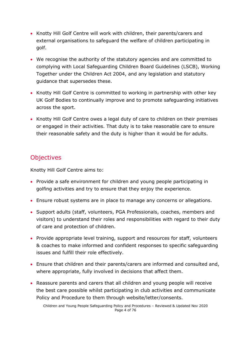- Knotty Hill Golf Centre will work with children, their parents/carers and external organisations to safeguard the welfare of children participating in golf.
- We recognise the authority of the statutory agencies and are committed to complying with Local Safeguarding Children Board Guidelines (LSCB), Working Together under the Children Act 2004, and any legislation and statutory guidance that supersedes these.
- Knotty Hill Golf Centre is committed to working in partnership with other key UK Golf Bodies to continually improve and to promote safeguarding initiatives across the sport.
- Knotty Hill Golf Centre owes a legal duty of care to children on their premises or engaged in their activities. That duty is to take reasonable care to ensure their reasonable safety and the duty is higher than it would be for adults.

### **Objectives**

Knotty Hill Golf Centre aims to:

- Provide a safe environment for children and young people participating in golfing activities and try to ensure that they enjoy the experience.
- Ensure robust systems are in place to manage any concerns or allegations.
- Support adults (staff, volunteers, PGA Professionals, coaches, members and visitors) to understand their roles and responsibilities with regard to their duty of care and protection of children.
- Provide appropriate level training, support and resources for staff, volunteers & coaches to make informed and confident responses to specific safeguarding issues and fulfill their role effectively.
- Ensure that children and their parents/carers are informed and consulted and, where appropriate, fully involved in decisions that affect them.
- Reassure parents and carers that all children and young people will receive the best care possible whilst participating in club activities and communicate Policy and Procedure to them through website/letter/consents.

Children and Young People Safeguarding Policy and Procedures – Reviewed & Updated Nov 2020 Page 4 of 76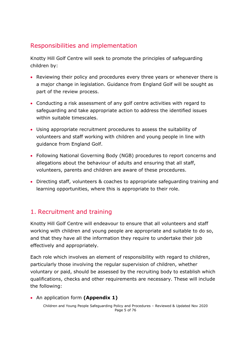### Responsibilities and implementation

Knotty Hill Golf Centre will seek to promote the principles of safeguarding children by:

- Reviewing their policy and procedures every three years or whenever there is a major change in legislation. Guidance from England Golf will be sought as part of the review process.
- Conducting a risk assessment of any golf centre activities with regard to safeguarding and take appropriate action to address the identified issues within suitable timescales.
- Using appropriate recruitment procedures to assess the suitability of volunteers and staff working with children and young people in line with guidance from England Golf.
- Following National Governing Body (NGB) procedures to report concerns and allegations about the behaviour of adults and ensuring that all staff, volunteers, parents and children are aware of these procedures.
- Directing staff, volunteers & coaches to appropriate safeguarding training and learning opportunities, where this is appropriate to their role.

### <span id="page-4-0"></span>1. Recruitment and training

Knotty Hill Golf Centre will endeavour to ensure that all volunteers and staff working with children and young people are appropriate and suitable to do so, and that they have all the information they require to undertake their job effectively and appropriately.

Each role which involves an element of responsibility with regard to children, particularly those involving the regular supervision of children, whether voluntary or paid, should be assessed by the recruiting body to establish which qualifications, checks and other requirements are necessary. These will include the following:

• An application form **(Appendix 1)**

Children and Young People Safeguarding Policy and Procedures – Reviewed & Updated Nov 2020 Page 5 of 76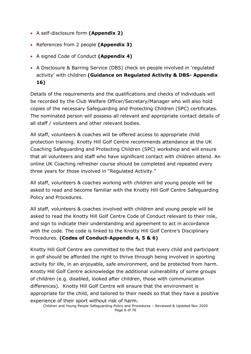- A self-disclosure form **(Appendix 2)**
- References from 2 people **(Appendix 3)**
- A signed Code of Conduct **(Appendix 4)**
- A Disclosure & Barring Service (DBS) check on people involved in 'regulated activity' with children **(Guidance on Regulated Activity & DBS- Appendix 16)**

Details of the requirements and the qualifications and checks of individuals will be recorded by the Club Welfare Officer/Secretary/Manager who will also hold copies of the necessary Safeguarding and Protecting Children (SPC) certificates. The nominated person will possess all relevant and appropriate contact details of all staff / volunteers and other relevant bodies.

All staff, volunteers & coaches will be offered access to appropriate child protection training. Knotty Hill Golf Centre recommends attendance at the UK Coaching Safeguarding and Protecting Children (SPC) workshop and will ensure that all volunteers and staff who have significant contact with children attend. An online UK Coaching refresher course should be completed and repeated every three years for those involved in "Regulated Activity."

All staff, volunteers & coaches working with children and young people will be asked to read and become familiar with the Knotty Hill Golf Centre Safeguarding Policy and Procedures.

All staff, volunteers & coaches involved with children and young people will be asked to read the Knotty Hill Golf Centre Code of Conduct relevant to their role, and sign to indicate their understanding and agreement to act in accordance with the code. The code is linked to the Knotty Hill Golf Centre's Disciplinary Procedures. **(Codes of Conduct-Appendix 4, 5 & 6)**

Knotty Hill Golf Centre are committed to the fact that every child and participant in golf should be afforded the right to thrive through being involved in sporting activity for life, in an enjoyable, safe environment, and be protected from harm. Knotty Hill Golf Centre acknowledge the additional vulnerability of some groups of children (e.g. disabled, looked after children, those with communication differences). Knotty Hill Golf Centre will ensure that the environment is appropriate for the child, and tailored to their needs so that they have a positive experience of their sport without risk of harm.

Children and Young People Safeguarding Policy and Procedures – Reviewed & Updated Nov 2020 Page 6 of 76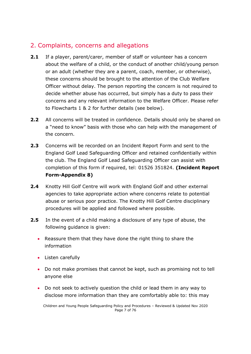### <span id="page-6-0"></span>2. Complaints, concerns and allegations

- **2.1** If a player, parent/carer, member of staff or volunteer has a concern about the welfare of a child, or the conduct of another child/young person or an adult (whether they are a parent, coach, member, or otherwise), these concerns should be brought to the attention of the Club Welfare Officer without delay. The person reporting the concern is not required to decide whether abuse has occurred, but simply has a duty to pass their concerns and any relevant information to the Welfare Officer. Please refer to Flowcharts 1 & 2 for further details (see below).
- **2.2** All concerns will be treated in confidence. Details should only be shared on a "need to know" basis with those who can help with the management of the concern.
- **2.3** Concerns will be recorded on an Incident Report Form and sent to the England Golf Lead Safeguarding Officer and retained confidentially within the club. The England Golf Lead Safeguarding Officer can assist with completion of this form if required, tel: 01526 351824. **(Incident Report Form-Appendix 8)**
- **2.4** Knotty Hill Golf Centre will work with England Golf and other external agencies to take appropriate action where concerns relate to potential abuse or serious poor practice. The Knotty Hill Golf Centre disciplinary procedures will be applied and followed where possible.
- **2.5** In the event of a child making a disclosure of any type of abuse, the following guidance is given:
	- Reassure them that they have done the right thing to share the information
	- Listen carefully
	- Do not make promises that cannot be kept, such as promising not to tell anyone else
	- Do not seek to actively question the child or lead them in any way to disclose more information than they are comfortably able to: this may

Children and Young People Safeguarding Policy and Procedures – Reviewed & Updated Nov 2020 Page 7 of 76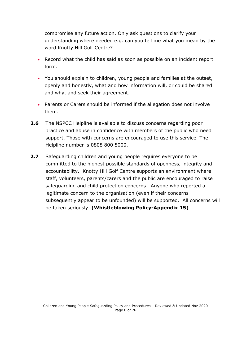compromise any future action. Only ask questions to clarify your understanding where needed e.g. can you tell me what you mean by the word Knotty Hill Golf Centre?

- Record what the child has said as soon as possible on an incident report form.
- You should explain to children, young people and families at the outset, openly and honestly, what and how information will, or could be shared and why, and seek their agreement.
- Parents or Carers should be informed if the allegation does not involve them.
- **2.6** The NSPCC Helpline is available to discuss concerns regarding poor practice and abuse in confidence with members of the public who need support. Those with concerns are encouraged to use this service. The Helpline number is 0808 800 5000.
- **2.7** Safeguarding children and young people requires everyone to be committed to the highest possible standards of openness, integrity and accountability. Knotty Hill Golf Centre supports an environment where staff, volunteers, parents/carers and the public are encouraged to raise safeguarding and child protection concerns. Anyone who reported a legitimate concern to the organisation (even if their concerns subsequently appear to be unfounded) will be supported. All concerns will be taken seriously. **(Whistleblowing Policy-Appendix 15)**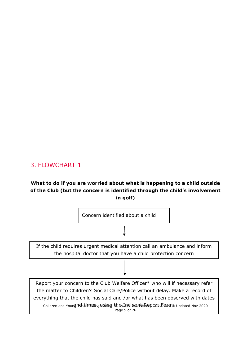### <span id="page-8-0"></span>3. FLOWCHART 1

### **What to do if you are worried about what is happening to a child outside of the Club (but the concern is identified through the child's involvement in golf)**

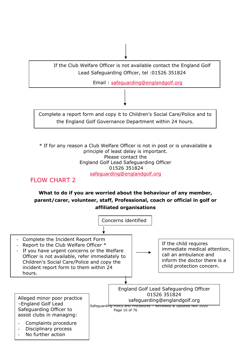

\* If for any reason a Club Welfare Officer is not in post or is unavailable a principle of least delay is important. Please contact the England Golf Lead Safeguarding Officer 01526 351824 [safeguarding@englandgolf.org](mailto:safeguarding@englandgolf.org)

### FLOW CHART 2

### **What to do if you are worried about the behaviour of any member, parent/carer, volunteer, staff, Professional, coach or official in golf or affiliated organisations**

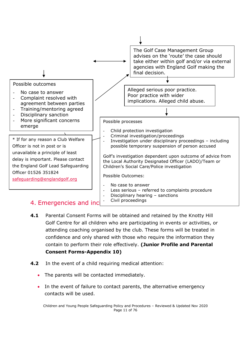

- <span id="page-10-0"></span>**4.1** Parental Consent Forms will be obtained and retained by the Knotty Hill Golf Centre for all children who are participating in events or activities, or attending coaching organised by the club. These forms will be treated in confidence and only shared with those who require the information they contain to perform their role effectively. **(Junior Profile and Parental Consent Forms-Appendix 10)**
- **4.2** In the event of a child requiring medical attention:
	- The parents will be contacted immediately.
	- In the event of failure to contact parents, the alternative emergency contacts will be used.

Children and Young People Safeguarding Policy and Procedures – Reviewed & Updated Nov 2020 Page 11 of 76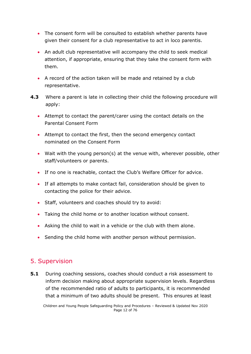- The consent form will be consulted to establish whether parents have given their consent for a club representative to act in loco parentis.
- An adult club representative will accompany the child to seek medical attention, if appropriate, ensuring that they take the consent form with them.
- A record of the action taken will be made and retained by a club representative.
- **4.3** Where a parent is late in collecting their child the following procedure will apply:
	- Attempt to contact the parent/carer using the contact details on the Parental Consent Form
	- Attempt to contact the first, then the second emergency contact nominated on the Consent Form
	- Wait with the young person(s) at the venue with, wherever possible, other staff/volunteers or parents.
	- If no one is reachable, contact the Club's Welfare Officer for advice.
	- If all attempts to make contact fail, consideration should be given to contacting the police for their advice.
	- Staff, volunteers and coaches should try to avoid:
	- Taking the child home or to another location without consent.
	- Asking the child to wait in a vehicle or the club with them alone.
	- Sending the child home with another person without permission.

### <span id="page-11-0"></span>5. Supervision

**5.1** During coaching sessions, coaches should conduct a risk assessment to inform decision making about appropriate supervision levels. Regardless of the recommended ratio of adults to participants, it is recommended that a minimum of two adults should be present. This ensures at least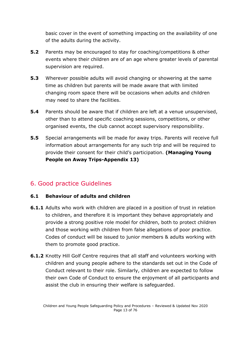basic cover in the event of something impacting on the availability of one of the adults during the activity.

- **5.2** Parents may be encouraged to stay for coaching/competitions & other events where their children are of an age where greater levels of parental supervision are required.
- **5.3** Wherever possible adults will avoid changing or showering at the same time as children but parents will be made aware that with limited changing room space there will be occasions when adults and children may need to share the facilities.
- **5.4** Parents should be aware that if children are left at a venue unsupervised, other than to attend specific coaching sessions, competitions, or other organised events, the club cannot accept supervisory responsibility.
- **5.5** Special arrangements will be made for away trips. Parents will receive full information about arrangements for any such trip and will be required to provide their consent for their child's participation. **(Managing Young People on Away Trips-Appendix 13)**

### <span id="page-12-0"></span>6. Good practice Guidelines

#### **6.1 Behaviour of adults and children**

- **6.1.1** Adults who work with children are placed in a position of trust in relation to children, and therefore it is important they behave appropriately and provide a strong positive role model for children, both to protect children and those working with children from false allegations of poor practice. Codes of conduct will be issued to junior members & adults working with them to promote good practice.
- **6.1.2** Knotty Hill Golf Centre requires that all staff and volunteers working with children and young people adhere to the standards set out in the Code of Conduct relevant to their role. Similarly, children are expected to follow their own Code of Conduct to ensure the enjoyment of all participants and assist the club in ensuring their welfare is safeguarded.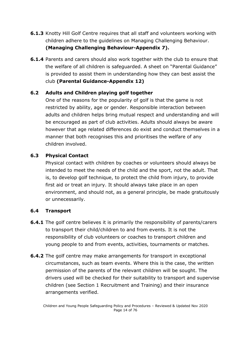- **6.1.3** Knotty Hill Golf Centre requires that all staff and volunteers working with children adhere to the guidelines on Managing Challenging Behaviour. **(Managing Challenging Behaviour-Appendix 7).**
- **6.1.4** Parents and carers should also work together with the club to ensure that the welfare of all children is safeguarded. A sheet on "Parental Guidance" is provided to assist them in understanding how they can best assist the club **(Parental Guidance-Appendix 12)**

#### **6.2 Adults and Children playing golf together**

One of the reasons for the popularity of golf is that the game is not restricted by ability, age or gender. Responsible interaction between adults and children helps bring mutual respect and understanding and will be encouraged as part of club activities. Adults should always be aware however that age related differences do exist and conduct themselves in a manner that both recognises this and prioritises the welfare of any children involved.

#### **6.3 Physical Contact**

Physical contact with children by coaches or volunteers should always be intended to meet the needs of the child and the sport, not the adult. That is, to develop golf technique, to protect the child from injury, to provide first aid or treat an injury. It should always take place in an open environment, and should not, as a general principle, be made gratuitously or unnecessarily.

#### **6.4 Transport**

- **6.4.1** The golf centre believes it is primarily the responsibility of parents/carers to transport their child/children to and from events. It is not the responsibility of club volunteers or coaches to transport children and young people to and from events, activities, tournaments or matches.
- **6.4.2** The golf centre may make arrangements for transport in exceptional circumstances, such as team events. Where this is the case, the written permission of the parents of the relevant children will be sought. The drivers used will be checked for their suitability to transport and supervise children (see Section 1 Recruitment and Training) and their insurance arrangements verified.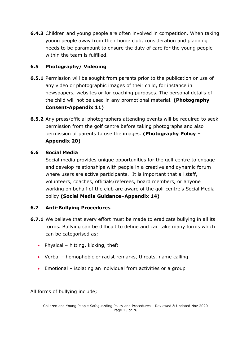**6.4.3** Children and young people are often involved in competition. When taking young people away from their home club, consideration and planning needs to be paramount to ensure the duty of care for the young people within the team is fulfilled.

### **6.5 Photography/ Videoing**

- **6.5.1** Permission will be sought from parents prior to the publication or use of any video or photographic images of their child, for instance in newspapers, websites or for coaching purposes. The personal details of the child will not be used in any promotional material. **(Photography Consent-Appendix 11)**
- **6.5.2** Any press/official photographers attending events will be required to seek permission from the golf centre before taking photographs and also permission of parents to use the images. **(Photography Policy – Appendix 20)**

### **6.6 Social Media**

Social media provides unique opportunities for the golf centre to engage and develop relationships with people in a creative and dynamic forum where users are active participants. It is important that all staff, volunteers, coaches, officials/referees, board members, or anyone working on behalf of the club are aware of the golf centre's Social Media policy **(Social Media Guidance–Appendix 14)**

### **6.7 Anti-Bullying Procedures**

- **6.7.1** We believe that every effort must be made to eradicate bullying in all its forms. Bullying can be difficult to define and can take many forms which can be categorised as;
	- Physical hitting, kicking, theft
	- Verbal homophobic or racist remarks, threats, name calling
	- Emotional isolating an individual from activities or a group

All forms of bullying include;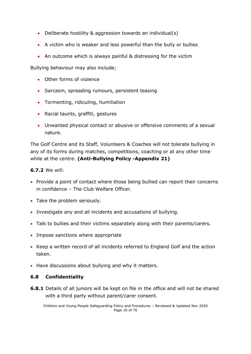- Deliberate hostility & aggression towards an individual(s)
- A victim who is weaker and less powerful than the bully or bullies
- An outcome which is always painful & distressing for the victim

Bullying behaviour may also include;

- Other forms of violence
- Sarcasm, spreading rumours, persistent teasing
- Tormenting, ridiculing, humiliation
- Racial taunts, graffiti, gestures
- Unwanted physical contact or abusive or offensive comments of a sexual nature.

The Golf Centre and its Staff, Volunteers & Coaches will not tolerate bullying in any of its forms during matches, competitions, coaching or at any other time while at the centre. **(Anti-Bullying Policy -Appendix 21)**

#### **6.7.2** We will:

- Provide a point of contact where those being bullied can report their concerns in confidence – The Club Welfare Officer.
- Take the problem seriously.
- Investigate any and all incidents and accusations of bullying.
- Talk to bullies and their victims separately along with their parents/carers.
- Impose sanctions where appropriate
- Keep a written record of all incidents referred to England Golf and the action taken.
- Have discussions about bullying and why it matters.

#### **6.8 Confidentiality**

**6.8.1** Details of all juniors will be kept on file in the office and will not be shared with a third party without parent/carer consent.

Children and Young People Safeguarding Policy and Procedures – Reviewed & Updated Nov 2020 Page 16 of 76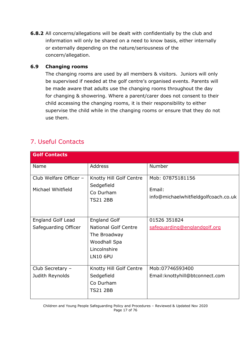**6.8.2** All concerns/allegations will be dealt with confidentially by the club and information will only be shared on a need to know basis, either internally or externally depending on the nature/seriousness of the concern/allegation.

#### **6.9 Changing rooms**

The changing rooms are used by all members & visitors. Juniors will only be supervised if needed at the golf centre's organised events. Parents will be made aware that adults use the changing rooms throughout the day for changing & showering. Where a parent/carer does not consent to their child accessing the changing rooms, it is their responsibility to either supervise the child while in the changing rooms or ensure that they do not use them.

### <span id="page-16-0"></span>7. Useful Contacts

| <b>Golf Contacts</b>                             |                                                                                                                       |                                                                    |
|--------------------------------------------------|-----------------------------------------------------------------------------------------------------------------------|--------------------------------------------------------------------|
| Name                                             | Address                                                                                                               | Number                                                             |
| Club Welfare Officer -<br>Michael Whitfield      | Knotty Hill Golf Centre<br>Sedgefield<br>Co Durham<br><b>TS21 2BB</b>                                                 | Mob: 07875181156<br>Email:<br>info@michaelwhitfieldgolfcoach.co.uk |
| <b>England Golf Lead</b><br>Safeguarding Officer | <b>England Golf</b><br><b>National Golf Centre</b><br>The Broadway<br>Woodhall Spa<br>Lincolnshire<br><b>LN10 6PU</b> | 01526 351824<br>safeguarding@englandgolf.org                       |
| Club Secretary -<br>Judith Reynolds              | Knotty Hill Golf Centre<br>Sedgefield<br>Co Durham<br><b>TS21 2BB</b>                                                 | Mob:07746593400<br>Email: knottyhill@btconnect.com                 |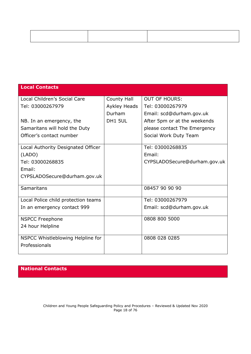| <b>Local Contacts</b>                              |               |                              |
|----------------------------------------------------|---------------|------------------------------|
| Local Children's Social Care                       | County Hall   | <b>OUT OF HOURS:</b>         |
| Tel: 03000267979                                   | Aykley Heads  | Tel: 03000267979             |
|                                                    | <b>Durham</b> | Email: scd@durham.gov.uk     |
| NB. In an emergency, the                           | DH1 5UL       | After 5pm or at the weekends |
| Samaritans will hold the Duty                      |               | please contact The Emergency |
| Officer's contact number                           |               | Social Work Duty Team        |
| Local Authority Designated Officer                 |               | Tel: 03000268835             |
| (LADO)                                             |               | Email:                       |
| Tel: 03000268835                                   |               | CYPSLADOSecure@durham.gov.uk |
| Email:                                             |               |                              |
| CYPSLADOSecure@durham.gov.uk                       |               |                              |
| Samaritans                                         |               | 08457 90 90 90               |
| Local Police child protection teams                |               | Tel: 03000267979             |
| In an emergency contact 999                        |               | Email: scd@durham.gov.uk     |
| <b>NSPCC Freephone</b>                             |               | 0808 800 5000                |
| 24 hour Helpline                                   |               |                              |
| NSPCC Whistleblowing Helpline for<br>Professionals |               | 0808 028 0285                |
|                                                    |               |                              |

**National Contacts**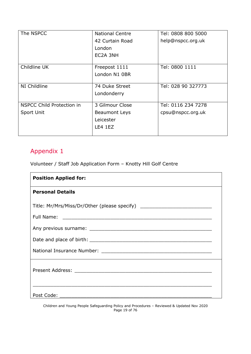| The NSPCC                        | <b>National Centre</b> | Tel: 0808 800 5000 |
|----------------------------------|------------------------|--------------------|
|                                  | 42 Curtain Road        | help@nspcc.org.uk  |
|                                  | London                 |                    |
|                                  | EC2A 3NH               |                    |
|                                  |                        |                    |
| Childline UK                     | Freepost 1111          | Tel: 0800 1111     |
|                                  | London N1 0BR          |                    |
|                                  |                        |                    |
| NI Childline                     | 74 Duke Street         | Tel: 028 90 327773 |
|                                  | Londonderry            |                    |
|                                  |                        |                    |
| <b>NSPCC Child Protection in</b> | 3 Gilmour Close        | Tel: 0116 234 7278 |
| Sport Unit                       | Beaumont Leys          | cpsu@nspcc.org.uk  |
|                                  | Leicester              |                    |
|                                  | LE4 1EZ                |                    |
|                                  |                        |                    |

### <span id="page-18-0"></span>Appendix 1

Volunteer / Staff Job Application Form – Knotty Hill Golf Centre

| <b>Position Applied for:</b>                                                     |
|----------------------------------------------------------------------------------|
| <b>Personal Details</b>                                                          |
| Title: Mr/Mrs/Miss/Dr/Other (please specify) ___________________________________ |
|                                                                                  |
|                                                                                  |
|                                                                                  |
|                                                                                  |
|                                                                                  |
| Post Code:                                                                       |

Children and Young People Safeguarding Policy and Procedures – Reviewed & Updated Nov 2020 Page 19 of 76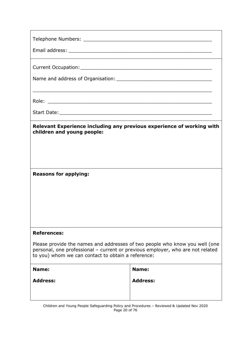| Relevant Experience including any previous experience of working with<br>children and young people:                                                                                                                 |                 |  |
|---------------------------------------------------------------------------------------------------------------------------------------------------------------------------------------------------------------------|-----------------|--|
|                                                                                                                                                                                                                     |                 |  |
|                                                                                                                                                                                                                     |                 |  |
| <b>Reasons for applying:</b>                                                                                                                                                                                        |                 |  |
|                                                                                                                                                                                                                     |                 |  |
|                                                                                                                                                                                                                     |                 |  |
|                                                                                                                                                                                                                     |                 |  |
|                                                                                                                                                                                                                     |                 |  |
| <b>References:</b>                                                                                                                                                                                                  |                 |  |
| Please provide the names and addresses of two people who know you well (one<br>personal, one professional - current or previous employer, who are not related<br>to you) whom we can contact to obtain a reference: |                 |  |
| Name:                                                                                                                                                                                                               | Name:           |  |
| <b>Address:</b>                                                                                                                                                                                                     | <b>Address:</b> |  |
|                                                                                                                                                                                                                     |                 |  |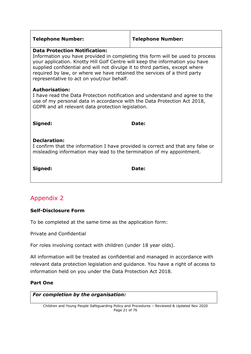| <b>Telephone Number:</b>                                                                                                                                                                                                                                                                                                                                                                                       | <b>Telephone Number:</b> |  |
|----------------------------------------------------------------------------------------------------------------------------------------------------------------------------------------------------------------------------------------------------------------------------------------------------------------------------------------------------------------------------------------------------------------|--------------------------|--|
| <b>Data Protection Notification:</b><br>Information you have provided in completing this form will be used to process<br>your application. Knotty Hill Golf Centre will keep the information you have<br>supplied confidential and will not divulge it to third parties, except where<br>required by law, or where we have retained the services of a third party<br>representative to act on yout/our behalf. |                          |  |
| <b>Authorisation:</b><br>I have read the Data Protection notification and understand and agree to the<br>use of my personal data in accordance with the Data Protection Act 2018,<br>GDPR and all relevant data protection legislation.                                                                                                                                                                        |                          |  |
| Signed:                                                                                                                                                                                                                                                                                                                                                                                                        | Date:                    |  |
| <b>Declaration:</b><br>I confirm that the information I have provided is correct and that any false or<br>misleading information may lead to the termination of my appointment.                                                                                                                                                                                                                                |                          |  |
| Signed:                                                                                                                                                                                                                                                                                                                                                                                                        | Date:                    |  |

### <span id="page-20-0"></span>Appendix 2

### **Self-Disclosure Form**

To be completed at the same time as the application form:

Private and Confidential

For roles involving contact with children (under 18 year olds).

All information will be treated as confidential and managed in accordance with relevant data protection legislation and guidance. You have a right of access to information held on you under the Data Protection Act 2018.

### **Part One**

#### *For completion by the organisation:*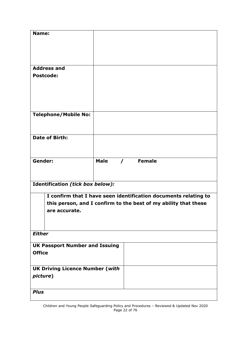| Name:                                  |                                                                 |
|----------------------------------------|-----------------------------------------------------------------|
|                                        |                                                                 |
|                                        |                                                                 |
|                                        |                                                                 |
|                                        |                                                                 |
| <b>Address and</b>                     |                                                                 |
| <b>Postcode:</b>                       |                                                                 |
|                                        |                                                                 |
|                                        |                                                                 |
|                                        |                                                                 |
|                                        |                                                                 |
|                                        |                                                                 |
| <b>Telephone/Mobile No:</b>            |                                                                 |
|                                        |                                                                 |
|                                        |                                                                 |
| Date of Birth:                         |                                                                 |
|                                        |                                                                 |
|                                        |                                                                 |
| Gender:                                | <b>Male</b><br>/ Female                                         |
|                                        |                                                                 |
|                                        |                                                                 |
|                                        |                                                                 |
| Identification (tick box below):       |                                                                 |
|                                        |                                                                 |
|                                        | I confirm that I have seen identification documents relating to |
|                                        | this person, and I confirm to the best of my ability that these |
| are accurate.                          |                                                                 |
|                                        |                                                                 |
|                                        |                                                                 |
| <b>Either</b>                          |                                                                 |
|                                        |                                                                 |
| <b>UK Passport Number and Issuing</b>  |                                                                 |
| <b>Office</b>                          |                                                                 |
|                                        |                                                                 |
| <b>UK Driving Licence Number (with</b> |                                                                 |
| picture)                               |                                                                 |
|                                        |                                                                 |
| <b>Plus</b>                            |                                                                 |
|                                        |                                                                 |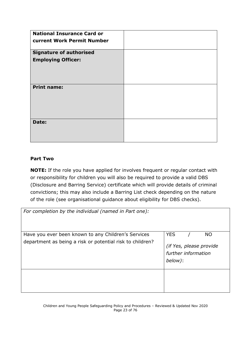| <b>National Insurance Card or</b> |  |
|-----------------------------------|--|
| current Work Permit Number        |  |
| <b>Signature of authorised</b>    |  |
| <b>Employing Officer:</b>         |  |
|                                   |  |
|                                   |  |
| <b>Print name:</b>                |  |
|                                   |  |
|                                   |  |
|                                   |  |
| Date:                             |  |
|                                   |  |
|                                   |  |

#### **Part Two**

**NOTE:** If the role you have applied for involves frequent or regular contact with or responsibility for children you will also be required to provide a valid DBS (Disclosure and Barring Service) certificate which will provide details of criminal convictions; this may also include a Barring List check depending on the nature of the role (see organisational guidance about eligibility for DBS checks).

| For completion by the individual (named in Part one):     |                                                           |
|-----------------------------------------------------------|-----------------------------------------------------------|
| Have you ever been known to any Children's Services       | <b>YES</b><br>NO.                                         |
| department as being a risk or potential risk to children? | (if Yes, please provide<br>further information<br>below): |
|                                                           |                                                           |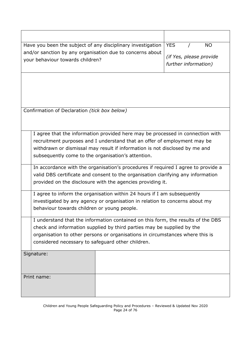| <b>YES</b><br>Have you been the subject of any disciplinary investigation<br><b>NO</b><br>and/or sanction by any organisation due to concerns about<br>(if Yes, please provide<br>your behaviour towards children? |  |  |  |  |
|--------------------------------------------------------------------------------------------------------------------------------------------------------------------------------------------------------------------|--|--|--|--|
|                                                                                                                                                                                                                    |  |  |  |  |
|                                                                                                                                                                                                                    |  |  |  |  |
|                                                                                                                                                                                                                    |  |  |  |  |
| further information)                                                                                                                                                                                               |  |  |  |  |
|                                                                                                                                                                                                                    |  |  |  |  |
|                                                                                                                                                                                                                    |  |  |  |  |
|                                                                                                                                                                                                                    |  |  |  |  |
|                                                                                                                                                                                                                    |  |  |  |  |
|                                                                                                                                                                                                                    |  |  |  |  |
| Confirmation of Declaration (tick box below)                                                                                                                                                                       |  |  |  |  |
|                                                                                                                                                                                                                    |  |  |  |  |
|                                                                                                                                                                                                                    |  |  |  |  |
| I agree that the information provided here may be processed in connection with                                                                                                                                     |  |  |  |  |
| recruitment purposes and I understand that an offer of employment may be                                                                                                                                           |  |  |  |  |
| withdrawn or dismissal may result if information is not disclosed by me and                                                                                                                                        |  |  |  |  |
| subsequently come to the organisation's attention.                                                                                                                                                                 |  |  |  |  |
|                                                                                                                                                                                                                    |  |  |  |  |
| In accordance with the organisation's procedures if required I agree to provide a                                                                                                                                  |  |  |  |  |
| valid DBS certificate and consent to the organisation clarifying any information                                                                                                                                   |  |  |  |  |
| provided on the disclosure with the agencies providing it.                                                                                                                                                         |  |  |  |  |
| I agree to inform the organisation within 24 hours if I am subsequently                                                                                                                                            |  |  |  |  |
| investigated by any agency or organisation in relation to concerns about my                                                                                                                                        |  |  |  |  |
|                                                                                                                                                                                                                    |  |  |  |  |
| behaviour towards children or young people.                                                                                                                                                                        |  |  |  |  |
| I understand that the information contained on this form, the results of the DBS                                                                                                                                   |  |  |  |  |
| check and information supplied by third parties may be supplied by the                                                                                                                                             |  |  |  |  |
| organisation to other persons or organisations in circumstances where this is                                                                                                                                      |  |  |  |  |
| considered necessary to safeguard other children.                                                                                                                                                                  |  |  |  |  |
|                                                                                                                                                                                                                    |  |  |  |  |
| Signature:                                                                                                                                                                                                         |  |  |  |  |
|                                                                                                                                                                                                                    |  |  |  |  |
|                                                                                                                                                                                                                    |  |  |  |  |
| Print name:                                                                                                                                                                                                        |  |  |  |  |
|                                                                                                                                                                                                                    |  |  |  |  |
|                                                                                                                                                                                                                    |  |  |  |  |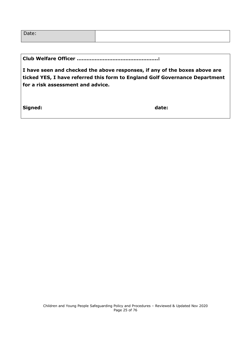| Date: |  |
|-------|--|
|       |  |

**Club Welfare Officer …………………………………………..:**

**I have seen and checked the above responses, if any of the boxes above are ticked YES, I have referred this form to England Golf Governance Department for a risk assessment and advice.**

**Signed: date:**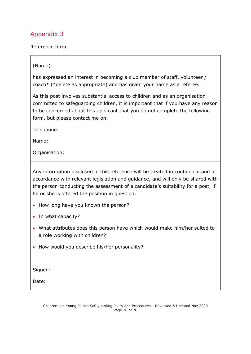### <span id="page-25-0"></span>Appendix 3

Reference form

#### (Name)

has expressed an interest in becoming a club member of staff, volunteer / coach\* (\*delete as appropriate) and has given your name as a referee.

As this post involves substantial access to children and as an organisation committed to safeguarding children, it is important that if you have any reason to be concerned about this applicant that you do not complete the following form, but please contact me on:

Telephone:

Name:

Organisation:

Any information disclosed in this reference will be treated in confidence and in accordance with relevant legislation and guidance, and will only be shared with the person conducting the assessment of a candidate's suitability for a post, if he or she is offered the position in question.

- How long have you known the person?
- In what capacity?
- What attributes does this person have which would make him/her suited to a role working with children?
- How would you describe his/her personality?

Signed:

Date: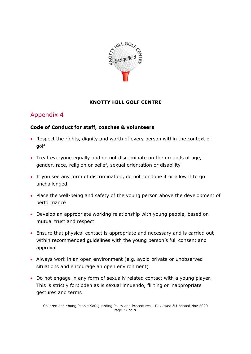

#### **KNOTTY HILL GOLF CENTRE**

### <span id="page-26-0"></span>Appendix 4

#### **Code of Conduct for staff, coaches & volunteers**

- Respect the rights, dignity and worth of every person within the context of golf
- Treat everyone equally and do not discriminate on the grounds of age, gender, race, religion or belief, sexual orientation or disability
- If you see any form of discrimination, do not condone it or allow it to go unchallenged
- Place the well-being and safety of the young person above the development of performance
- Develop an appropriate working relationship with young people, based on mutual trust and respect
- Ensure that physical contact is appropriate and necessary and is carried out within recommended guidelines with the young person's full consent and approval
- Always work in an open environment (e.g. avoid private or unobserved situations and encourage an open environment)
- Do not engage in any form of sexually related contact with a young player. This is strictly forbidden as is sexual innuendo, flirting or inappropriate gestures and terms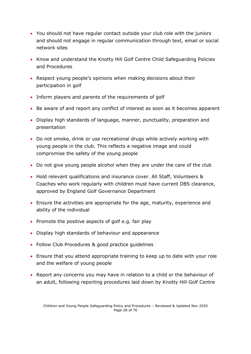- You should not have regular contact outside your club role with the juniors and should not engage in regular communication through text, email or social network sites
- Know and understand the Knotty Hill Golf Centre Child Safeguarding Policies and Procedures
- Respect young people's opinions when making decisions about their participation in golf
- Inform players and parents of the requirements of golf
- Be aware of and report any conflict of interest as soon as it becomes apparent
- Display high standards of language, manner, punctuality, preparation and presentation
- Do not smoke, drink or use recreational drugs while actively working with young people in the club. This reflects a negative image and could compromise the safety of the young people
- Do not give young people alcohol when they are under the care of the club
- Hold relevant qualifications and insurance cover. All Staff, Volunteers & Coaches who work regularly with children must have current DBS clearance, approved by England Golf Governance Department
- Ensure the activities are appropriate for the age, maturity, experience and ability of the individual
- Promote the positive aspects of golf e.g. fair play
- Display high standards of behaviour and appearance
- Follow Club Procedures & good practice guidelines
- Ensure that you attend appropriate training to keep up to date with your role and the welfare of young people
- Report any concerns you may have in relation to a child or the behaviour of an adult, following reporting procedures laid down by Knotty Hill Golf Centre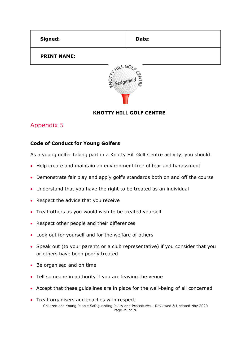<span id="page-28-0"></span>

| Signed:            | Date: |  |  |
|--------------------|-------|--|--|
| <b>PRINT NAME:</b> |       |  |  |
| WILL GO.           |       |  |  |



### **KNOTTY HILL GOLF CENTRE**

### Appendix 5

#### **Code of Conduct for Young Golfers**

As a young golfer taking part in a Knotty Hill Golf Centre activity, you should:

- Help create and maintain an environment free of fear and harassment
- Demonstrate fair play and apply golf's standards both on and off the course
- Understand that you have the right to be treated as an individual
- Respect the advice that you receive
- Treat others as you would wish to be treated yourself
- Respect other people and their differences
- Look out for yourself and for the welfare of others
- Speak out (to your parents or a club representative) if you consider that you or others have been poorly treated
- Be organised and on time
- Tell someone in authority if you are leaving the venue
- Accept that these guidelines are in place for the well-being of all concerned
- Children and Young People Safeguarding Policy and Procedures Reviewed & Updated Nov 2020 Page 29 of 76 • Treat organisers and coaches with respect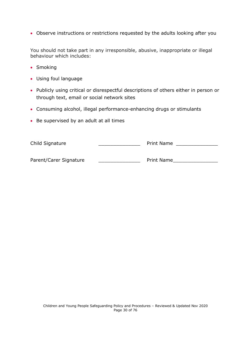• Observe instructions or restrictions requested by the adults looking after you

You should not take part in any irresponsible, abusive, inappropriate or illegal behaviour which includes:

- Smoking
- Using foul language
- Publicly using critical or disrespectful descriptions of others either in person or through text, email or social network sites
- Consuming alcohol, illegal performance-enhancing drugs or stimulants
- Be supervised by an adult at all times

| Child Signature        | <b>Print Name</b> |
|------------------------|-------------------|
| Parent/Carer Signature | Print Name        |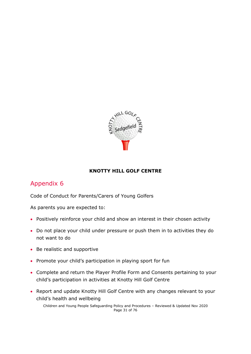

### **KNOTTY HILL GOLF CENTRE**

### <span id="page-30-0"></span>Appendix 6

Code of Conduct for Parents/Carers of Young Golfers

As parents you are expected to:

- Positively reinforce your child and show an interest in their chosen activity
- Do not place your child under pressure or push them in to activities they do not want to do
- Be realistic and supportive
- Promote your child's participation in playing sport for fun
- Complete and return the Player Profile Form and Consents pertaining to your child's participation in activities at Knotty Hill Golf Centre
- Report and update Knotty Hill Golf Centre with any changes relevant to your child's health and wellbeing

Children and Young People Safeguarding Policy and Procedures – Reviewed & Updated Nov 2020 Page 31 of 76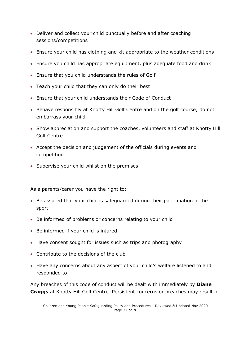- Deliver and collect your child punctually before and after coaching sessions/competitions
- Ensure your child has clothing and kit appropriate to the weather conditions
- Ensure you child has appropriate equipment, plus adequate food and drink
- Ensure that you child understands the rules of Golf
- Teach your child that they can only do their best
- Ensure that your child understands their Code of Conduct
- Behave responsibly at Knotty Hill Golf Centre and on the golf course; do not embarrass your child
- Show appreciation and support the coaches, volunteers and staff at Knotty Hill Golf Centre
- Accept the decision and judgement of the officials during events and competition
- Supervise your child whilst on the premises

As a parents/carer you have the right to:

- Be assured that your child is safeguarded during their participation in the sport
- Be informed of problems or concerns relating to your child
- Be informed if your child is injured
- Have consent sought for issues such as trips and photography
- Contribute to the decisions of the club
- Have any concerns about any aspect of your child's welfare listened to and responded to

Any breaches of this code of conduct will be dealt with immediately by **Diane Craggs** at Knotty Hill Golf Centre. Persistent concerns or breaches may result in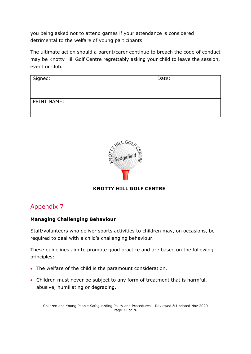you being asked not to attend games if your attendance is considered detrimental to the welfare of young participants.

The ultimate action should a parent/carer continue to breach the code of conduct may be Knotty Hill Golf Centre regrettably asking your child to leave the session, event or club.

| Signed:     | Date: |
|-------------|-------|
| PRINT NAME: |       |



#### **KNOTTY HILL GOLF CENTRE**

### Appendix 7

#### **Managing Challenging Behaviour**

Staff/volunteers who deliver sports activities to children may, on occasions, be required to deal with a child's challenging behaviour.

These guidelines aim to promote good practice and are based on the following principles:

- The welfare of the child is the paramount consideration.
- Children must never be subject to any form of treatment that is harmful, abusive, humiliating or degrading.

Children and Young People Safeguarding Policy and Procedures – Reviewed & Updated Nov 2020 Page 33 of 76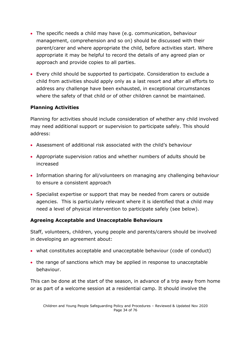- The specific needs a child may have (e.g. communication, behaviour management, comprehension and so on) should be discussed with their parent/carer and where appropriate the child, before activities start. Where appropriate it may be helpful to record the details of any agreed plan or approach and provide copies to all parties.
- Every child should be supported to participate. Consideration to exclude a child from activities should apply only as a last resort and after all efforts to address any challenge have been exhausted, in exceptional circumstances where the safety of that child or of other children cannot be maintained.

### **Planning Activities**

Planning for activities should include consideration of whether any child involved may need additional support or supervision to participate safely. This should address:

- Assessment of additional risk associated with the child's behaviour
- Appropriate supervision ratios and whether numbers of adults should be increased
- Information sharing for all/volunteers on managing any challenging behaviour to ensure a consistent approach
- Specialist expertise or support that may be needed from carers or outside agencies. This is particularly relevant where it is identified that a child may need a level of physical intervention to participate safely (see below).

#### **Agreeing Acceptable and Unacceptable Behaviours**

Staff, volunteers, children, young people and parents/carers should be involved in developing an agreement about:

- what constitutes acceptable and unacceptable behaviour (code of conduct)
- the range of sanctions which may be applied in response to unacceptable behaviour.

This can be done at the start of the season, in advance of a trip away from home or as part of a welcome session at a residential camp. It should involve the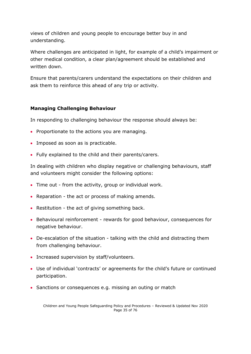views of children and young people to encourage better buy in and understanding.

Where challenges are anticipated in light, for example of a child's impairment or other medical condition, a clear plan/agreement should be established and written down.

Ensure that parents/carers understand the expectations on their children and ask them to reinforce this ahead of any trip or activity.

#### **Managing Challenging Behaviour**

In responding to challenging behaviour the response should always be:

- Proportionate to the actions you are managing.
- Imposed as soon as is practicable.
- Fully explained to the child and their parents/carers.

In dealing with children who display negative or challenging behaviours, staff and volunteers might consider the following options:

- Time out from the activity, group or individual work.
- Reparation the act or process of making amends.
- Restitution the act of giving something back.
- Behavioural reinforcement rewards for good behaviour, consequences for negative behaviour.
- De-escalation of the situation talking with the child and distracting them from challenging behaviour.
- Increased supervision by staff/volunteers.
- Use of individual 'contracts' or agreements for the child's future or continued participation.
- Sanctions or consequences e.g. missing an outing or match

Children and Young People Safeguarding Policy and Procedures – Reviewed & Updated Nov 2020 Page 35 of 76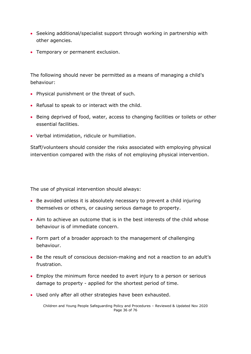- Seeking additional/specialist support through working in partnership with other agencies.
- Temporary or permanent exclusion.

The following should never be permitted as a means of managing a child's behaviour:

- Physical punishment or the threat of such.
- Refusal to speak to or interact with the child.
- Being deprived of food, water, access to changing facilities or toilets or other essential facilities.
- Verbal intimidation, ridicule or humiliation.

Staff/volunteers should consider the risks associated with employing physical intervention compared with the risks of not employing physical intervention.

The use of physical intervention should always:

- Be avoided unless it is absolutely necessary to prevent a child injuring themselves or others, or causing serious damage to property.
- Aim to achieve an outcome that is in the best interests of the child whose behaviour is of immediate concern.
- Form part of a broader approach to the management of challenging behaviour.
- Be the result of conscious decision-making and not a reaction to an adult's frustration.
- Employ the minimum force needed to avert injury to a person or serious damage to property - applied for the shortest period of time.
- Used only after all other strategies have been exhausted.

Children and Young People Safeguarding Policy and Procedures – Reviewed & Updated Nov 2020 Page 36 of 76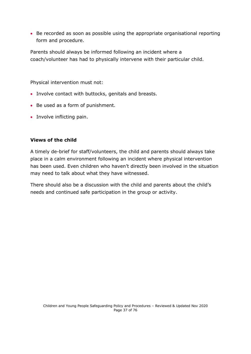• Be recorded as soon as possible using the appropriate organisational reporting form and procedure.

Parents should always be informed following an incident where a coach/volunteer has had to physically intervene with their particular child.

Physical intervention must not:

- Involve contact with buttocks, genitals and breasts.
- Be used as a form of punishment.
- Involve inflicting pain.

#### **Views of the child**

A timely de-brief for staff/volunteers, the child and parents should always take place in a calm environment following an incident where physical intervention has been used. Even children who haven't directly been involved in the situation may need to talk about what they have witnessed.

There should also be a discussion with the child and parents about the child's needs and continued safe participation in the group or activity.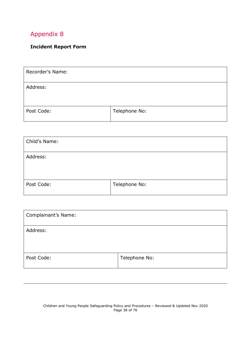## **Incident Report Form**

| Recorder's Name: |               |
|------------------|---------------|
| Address:         |               |
| Post Code:       | Telephone No: |

| Child's Name: |               |
|---------------|---------------|
| Address:      |               |
| Post Code:    | Telephone No: |

| Complainant's Name: |               |
|---------------------|---------------|
| Address:            |               |
| Post Code:          | Telephone No: |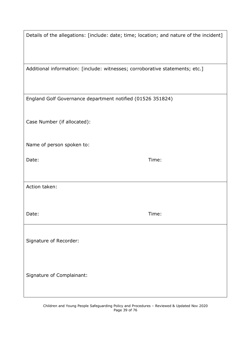| Details of the allegations: [include: date; time; location; and nature of the incident] |       |
|-----------------------------------------------------------------------------------------|-------|
| Additional information: [include: witnesses; corroborative statements; etc.]            |       |
| England Golf Governance department notified (01526 351824)                              |       |
| Case Number (if allocated):                                                             |       |
| Name of person spoken to:                                                               |       |
| Date:                                                                                   | Time: |
| Action taken:                                                                           |       |
| Date:                                                                                   | Time: |
| Signature of Recorder:                                                                  |       |
| Signature of Complainant:                                                               |       |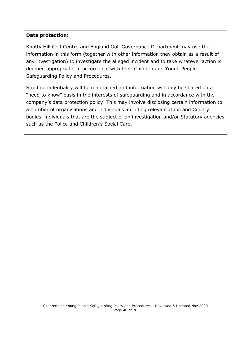#### **Data protection:**

Knotty Hill Golf Centre and England Golf Governance Department may use the information in this form (together with other information they obtain as a result of any investigation) to investigate the alleged incident and to take whatever action is deemed appropriate, in accordance with their Children and Young People Safeguarding Policy and Procedures.

Strict confidentiality will be maintained and information will only be shared on a "need to know" basis in the interests of safeguarding and in accordance with the company's data protection policy. This may involve disclosing certain information to a number of organisations and individuals including relevant clubs and County bodies, individuals that are the subject of an investigation and/or Statutory agencies such as the Police and Children's Social Care.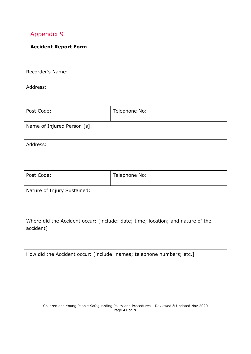## **Accident Report Form**

| Recorder's Name:                                                                             |               |  |
|----------------------------------------------------------------------------------------------|---------------|--|
| Address:                                                                                     |               |  |
| Post Code:                                                                                   | Telephone No: |  |
| Name of Injured Person [s]:                                                                  |               |  |
| Address:                                                                                     |               |  |
| Post Code:                                                                                   | Telephone No: |  |
| Nature of Injury Sustained:                                                                  |               |  |
| Where did the Accident occur: [include: date; time; location; and nature of the<br>accident] |               |  |
| How did the Accident occur: [include: names; telephone numbers; etc.]                        |               |  |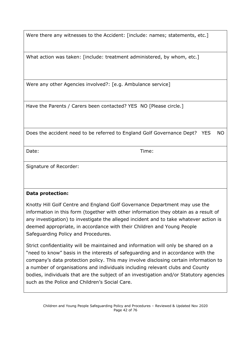Were there any witnesses to the Accident: [include: names; statements, etc.]

What action was taken: [include: treatment administered, by whom, etc.]

Were any other Agencies involved?: [e.g. Ambulance service]

Have the Parents / Carers been contacted? YES NO [Please circle.]

Does the accident need to be referred to England Golf Governance Dept? YES NO

Date: Time:

Signature of Recorder:

#### **Data protection:**

Knotty Hill Golf Centre and England Golf Governance Department may use the information in this form (together with other information they obtain as a result of any investigation) to investigate the alleged incident and to take whatever action is deemed appropriate, in accordance with their Children and Young People Safeguarding Policy and Procedures.

Strict confidentiality will be maintained and information will only be shared on a "need to know" basis in the interests of safeguarding and in accordance with the company's data protection policy. This may involve disclosing certain information to a number of organisations and individuals including relevant clubs and County bodies, individuals that are the subject of an investigation and/or Statutory agencies such as the Police and Children's Social Care.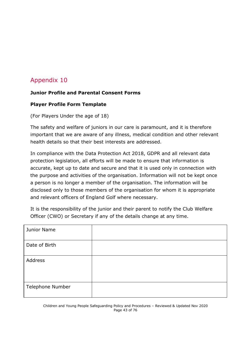# **Junior Profile and Parental Consent Forms**

#### **Player Profile Form Template**

(For Players Under the age of 18)

The safety and welfare of juniors in our care is paramount, and it is therefore important that we are aware of any illness, medical condition and other relevant health details so that their best interests are addressed.

In compliance with the Data Protection Act 2018, GDPR and all relevant data protection legislation, all efforts will be made to ensure that information is accurate, kept up to date and secure and that it is used only in connection with the purpose and activities of the organisation. Information will not be kept once a person is no longer a member of the organisation. The information will be disclosed only to those members of the organisation for whom it is appropriate and relevant officers of England Golf where necessary.

It is the responsibility of the junior and their parent to notify the Club Welfare Officer (CWO) or Secretary if any of the details change at any time.

| Junior Name      |  |
|------------------|--|
| Date of Birth    |  |
| Address          |  |
| Telephone Number |  |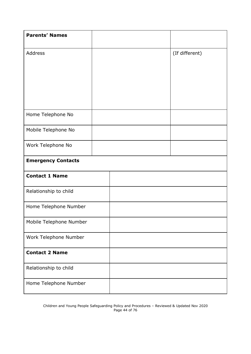| <b>Parents' Names</b>     |  |                |
|---------------------------|--|----------------|
| Address                   |  | (If different) |
|                           |  |                |
|                           |  |                |
|                           |  |                |
| Home Telephone No         |  |                |
| Mobile Telephone No       |  |                |
| Work Telephone No         |  |                |
| <b>Emergency Contacts</b> |  |                |
| <b>Contact 1 Name</b>     |  |                |
| Relationship to child     |  |                |
| Home Telephone Number     |  |                |
| Mobile Telephone Number   |  |                |
| Work Telephone Number     |  |                |
| <b>Contact 2 Name</b>     |  |                |
| Relationship to child     |  |                |
| Home Telephone Number     |  |                |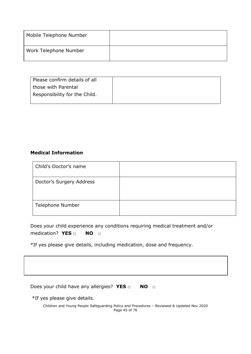| Mobile Telephone Number |  |
|-------------------------|--|
| Work Telephone Number   |  |

| Please confirm details of all |
|-------------------------------|
| those with Parental           |
| Responsibility for the Child. |
|                               |

#### **Medical Information**

| Child's Doctor's name    |  |
|--------------------------|--|
| Doctor's Surgery Address |  |
| <b>Telephone Number</b>  |  |

Does your child experience any conditions requiring medical treatment and/or medication? **YES □ NO □**

\*If yes please give details, including medication, dose and frequency.

| Does your child have any allergies? YES $\Box$ | NO <b>D</b> |
|------------------------------------------------|-------------|

٦

\*If yes please give details.

Children and Young People Safeguarding Policy and Procedures – Reviewed & Updated Nov 2020 Page 45 of 76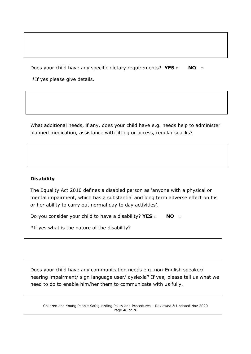Does your child have any specific dietary requirements? YES □ NO □

\*If yes please give details.

What additional needs, if any, does your child have e.g. needs help to administer planned medication, assistance with lifting or access, regular snacks?

#### **Disability**

The Equality Act 2010 defines a disabled person as 'anyone with a physical or mental impairment, which has a substantial and long term adverse effect on his or her ability to carry out normal day to day activities'.

Do you consider your child to have a disability? **YES** □ **NO** □

\*If yes what is the nature of the disability?

Does your child have any communication needs e.g. non-English speaker/ hearing impairment/ sign language user/ dyslexia? If yes, please tell us what we need to do to enable him/her them to communicate with us fully.

Children and Young People Safeguarding Policy and Procedures – Reviewed & Updated Nov 2020 Page 46 of 76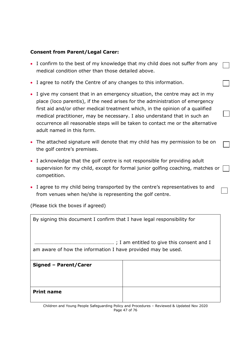#### **Consent from Parent/Legal Carer:**

- I confirm to the best of my knowledge that my child does not suffer from any medical condition other than those detailed above.
- I agree to notify the Centre of any changes to this information.
- I give my consent that in an emergency situation, the centre may act in my place (loco parentis), if the need arises for the administration of emergency first aid and/or other medical treatment which, in the opinion of a qualified medical practitioner, may be necessary. I also understand that in such an occurrence all reasonable steps will be taken to contact me or the alternative adult named in this form.
- The attached signature will denote that my child has my permission to be on the golf centre's premises.
- I acknowledge that the golf centre is not responsible for providing adult supervision for my child, except for formal junior golfing coaching, matches or | competition.
- I agree to my child being transported by the centre's representatives to and from venues when he/she is representing the golf centre.

(Please tick the boxes if agreed)

| By signing this document I confirm that I have legal responsibility for |  |  |
|-------------------------------------------------------------------------|--|--|
| am aware of how the information I have provided may be used.            |  |  |
| Signed - Parent/Carer                                                   |  |  |
| <b>Print name</b>                                                       |  |  |

Children and Young People Safeguarding Policy and Procedures – Reviewed & Updated Nov 2020 Page 47 of 76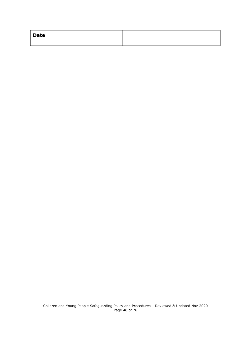| <b>Date</b> |  |
|-------------|--|
|             |  |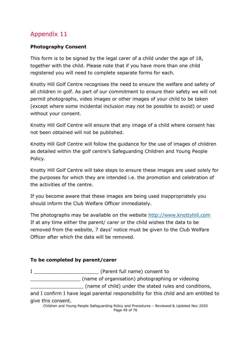## **Photography Consent**

This form is to be signed by the legal carer of a child under the age of 18, together with the child. Please note that if you have more than one child registered you will need to complete separate forms for each.

Knotty Hill Golf Centre recognises the need to ensure the welfare and safety of all children in golf. As part of our commitment to ensure their safety we will not permit photographs, video images or other images of your child to be taken (except where some incidental inclusion may not be possible to avoid) or used without your consent.

Knotty Hill Golf Centre will ensure that any image of a child where consent has not been obtained will not be published.

Knotty Hill Golf Centre will follow the guidance for the use of images of children as detailed within the golf centre's Safeguarding Children and Young People Policy.

Knotty Hill Golf Centre will take steps to ensure these images are used solely for the purposes for which they are intended i.e. the promotion and celebration of the activities of the centre.

If you become aware that these images are being used inappropriately you should inform the Club Welfare Officer immediately.

The photographs may be available on the website [http://www.knottyhill.com](http://www.knottyhill.com/) If at any time either the parent/ carer or the child wishes the data to be removed from the website, 7 days' notice must be given to the Club Welfare Officer after which the data will be removed.

# **To be completed by parent/carer**

I \_\_\_\_\_\_\_\_\_\_\_\_\_\_\_\_\_\_\_\_\_\_ (Parent full name) consent to \_\_\_\_\_\_\_\_\_\_\_\_\_\_\_\_\_ (name of organisation) photographing or videoing \_\_\_\_\_\_\_\_\_\_\_\_\_\_\_\_\_\_ (name of child) under the stated rules and conditions,

and I confirm I have legal parental responsibility for this child and am entitled to give this consent.

Children and Young People Safeguarding Policy and Procedures – Reviewed & Updated Nov 2020 Page 49 of 76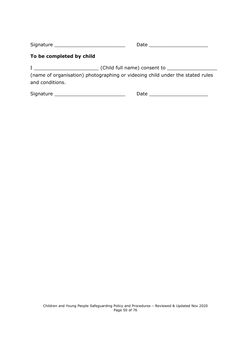| Signature |  |
|-----------|--|
|           |  |

#### **To be completed by child**

I \_\_\_\_\_\_\_\_\_\_\_\_\_\_\_\_\_\_\_\_\_\_ (Child full name) consent to \_\_\_\_\_\_\_\_\_\_\_\_\_\_\_\_\_

(name of organisation) photographing or videoing child under the stated rules and conditions.

Signature \_\_\_\_\_\_\_\_\_\_\_\_\_\_\_\_\_\_\_\_\_\_\_\_ Date \_\_\_\_\_\_\_\_\_\_\_\_\_\_\_\_\_\_\_\_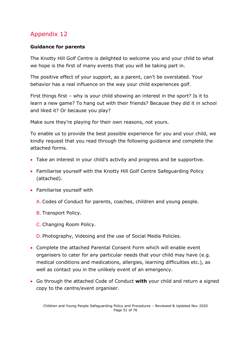## **Guidance for parents**

The Knotty Hill Golf Centre is delighted to welcome you and your child to what we hope is the first of many events that you will be taking part in.

The positive effect of your support, as a parent, can't be overstated. Your behavior has a real influence on the way your child experiences golf.

First things first – why is your child showing an interest in the sport? Is it to learn a new game? To hang out with their friends? Because they did it in school and liked it? Or because you play?

Make sure they're playing for their own reasons, not yours.

To enable us to provide the best possible experience for you and your child, we kindly request that you read through the following guidance and complete the attached forms.

- Take an interest in your child's activity and progress and be supportive.
- Familiarise yourself with the Knotty Hill Golf Centre Safeguarding Policy (attached).
- Familiarise yourself with
	- A. Codes of Conduct for parents, coaches, children and young people.
	- B. Transport Policy.
	- C. Changing Room Policy.
	- D. Photography, Videoing and the use of Social Media Policies.
- Complete the attached Parental Consent Form which will enable event organisers to cater for any particular needs that your child may have (e.g. medical conditions and medications, allergies, learning difficulties etc.), as well as contact you in the unlikely event of an emergency.
- Go through the attached Code of Conduct **with** your child and return a signed copy to the centre/event organiser.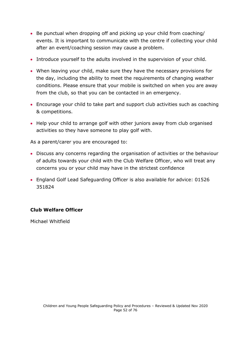- Be punctual when dropping off and picking up your child from coaching/ events. It is important to communicate with the centre if collecting your child after an event/coaching session may cause a problem.
- Introduce yourself to the adults involved in the supervision of your child.
- When leaving your child, make sure they have the necessary provisions for the day, including the ability to meet the requirements of changing weather conditions. Please ensure that your mobile is switched on when you are away from the club, so that you can be contacted in an emergency.
- Encourage your child to take part and support club activities such as coaching & competitions.
- Help your child to arrange golf with other juniors away from club organised activities so they have someone to play golf with.

As a parent/carer you are encouraged to:

- Discuss any concerns regarding the organisation of activities or the behaviour of adults towards your child with the Club Welfare Officer, who will treat any concerns you or your child may have in the strictest confidence
- England Golf Lead Safeguarding Officer is also available for advice: 01526 351824

#### **Club Welfare Officer**

Michael Whitfield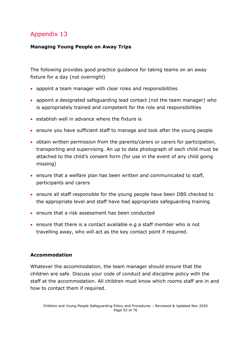## **Managing Young People on Away Trips**

The following provides good practice guidance for taking teams on an away fixture for a day (not overnight)

- appoint a team manager with clear roles and responsibilities
- appoint a designated safeguarding lead contact (not the team manager) who is appropriately trained and competent for the role and responsibilities
- establish well in advance where the fixture is
- ensure you have sufficient staff to manage and look after the young people
- obtain written permission from the parents/carers or carers for participation, transporting and supervising. An up to date photograph of each child must be attached to the child's consent form (for use in the event of any child going missing)
- ensure that a welfare plan has been written and communicated to staff, participants and carers
- ensure all staff responsible for the young people have been DBS checked to the appropriate level and staff have had appropriate safeguarding training
- ensure that a risk assessment has been conducted
- ensure that there is a contact available e.g a staff member who is not travelling away, who will act as the key contact point if required.

# **Accommodation**

Whatever the accommodation, the team manager should ensure that the children are safe. Discuss your code of conduct and discipline policy with the staff at the accommodation. All children must know which rooms staff are in and how to contact them if required.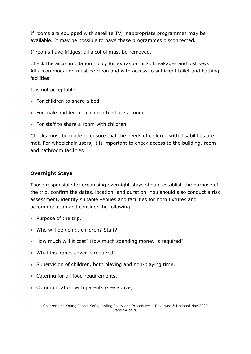If rooms are equipped with satellite TV, inappropriate programmes may be available. It may be possible to have these programmes disconnected.

If rooms have fridges, all alcohol must be removed.

Check the accommodation policy for extras on bills, breakages and lost keys. All accommodation must be clean and with access to sufficient toilet and bathing facilities.

It is not acceptable:

- For children to share a bed
- For male and female children to share a room
- For staff to share a room with children

Checks must be made to ensure that the needs of children with disabilities are met. For wheelchair users, it is important to check access to the building, room and bathroom facilities

#### **Overnight Stays**

Those responsible for organising overnight stays should establish the purpose of the trip, confirm the dates, location, and duration. You should also conduct a risk assessment, identify suitable venues and facilities for both fixtures and accommodation and consider the following:

- Purpose of the trip.
- Who will be going, children? Staff?
- How much will it cost? How much spending money is required?
- What insurance cover is required?
- Supervision of children, both playing and non-playing time.
- Catering for all food requirements.
- Communication with parents (see above)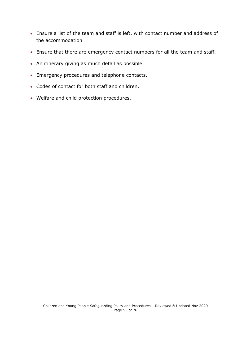- Ensure a list of the team and staff is left, with contact number and address of the accommodation
- Ensure that there are emergency contact numbers for all the team and staff.
- An itinerary giving as much detail as possible.
- Emergency procedures and telephone contacts.
- Codes of contact for both staff and children.
- Welfare and child protection procedures.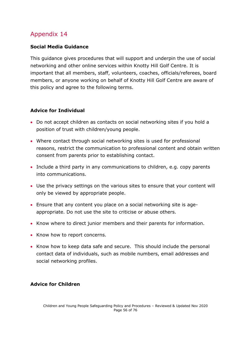## **Social Media Guidance**

This guidance gives procedures that will support and underpin the use of social networking and other online services within Knotty Hill Golf Centre. It is important that all members, staff, volunteers, coaches, officials/referees, board members, or anyone working on behalf of Knotty Hill Golf Centre are aware of this policy and agree to the following terms.

## **Advice for Individual**

- Do not accept children as contacts on social networking sites if you hold a position of trust with children/young people.
- Where contact through social networking sites is used for professional reasons, restrict the communication to professional content and obtain written consent from parents prior to establishing contact.
- Include a third party in any communications to children, e.g. copy parents into communications.
- Use the privacy settings on the various sites to ensure that your content will only be viewed by appropriate people.
- Ensure that any content you place on a social networking site is ageappropriate. Do not use the site to criticise or abuse others.
- Know where to direct junior members and their parents for information.
- Know how to report concerns.
- Know how to keep data safe and secure. This should include the personal contact data of individuals, such as mobile numbers, email addresses and social networking profiles.

#### **Advice for Children**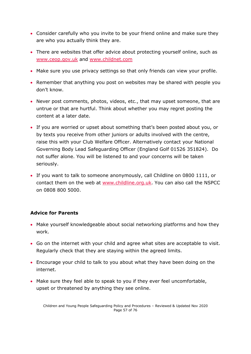- Consider carefully who you invite to be your friend online and make sure they are who you actually think they are.
- There are websites that offer advice about protecting yourself online, such as [www.ceop.gov.uk](http://www.ceop.gov.uk/) and [www.childnet.com](http://www.childnet.com/)
- Make sure you use privacy settings so that only friends can view your profile.
- Remember that anything you post on websites may be shared with people you don't know.
- Never post comments, photos, videos, etc., that may upset someone, that are untrue or that are hurtful. Think about whether you may regret posting the content at a later date.
- If you are worried or upset about something that's been posted about you, or by texts you receive from other juniors or adults involved with the centre, raise this with your Club Welfare Officer. Alternatively contact your National Governing Body Lead Safeguarding Officer (England Golf 01526 351824). Do not suffer alone. You will be listened to and your concerns will be taken seriously.
- If you want to talk to someone anonymously, call Childline on 0800 1111, or contact them on the web at [www.childline.org.uk.](http://www.childline.org.uk/) You can also call the NSPCC on 0808 800 5000.

# **Advice for Parents**

- Make yourself knowledgeable about social networking platforms and how they work.
- Go on the internet with your child and agree what sites are acceptable to visit. Regularly check that they are staying within the agreed limits.
- Encourage your child to talk to you about what they have been doing on the internet.
- Make sure they feel able to speak to you if they ever feel uncomfortable, upset or threatened by anything they see online.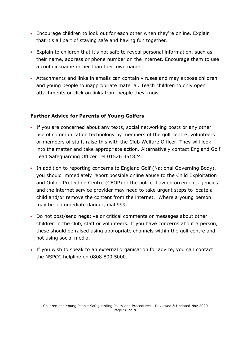- Encourage children to look out for each other when they're online. Explain that it's all part of staying safe and having fun together.
- Explain to children that it's not safe to reveal personal information, such as their name, address or phone number on the internet. Encourage them to use a cool nickname rather than their own name.
- Attachments and links in emails can contain viruses and may expose children and young people to inappropriate material. Teach children to only open attachments or click on links from people they know.

#### **Further Advice for Parents of Young Golfers**

- If you are concerned about any texts, social networking posts or any other use of communication technology by members of the golf centre, volunteers or members of staff, raise this with the Club Welfare Officer. They will look into the matter and take appropriate action. Alternatively contact England Golf Lead Safeguarding Officer Tel 01526 351824.
- In addition to reporting concerns to England Golf (National Governing Body), you should immediately report possible online abuse to the Child Exploitation and Online Protection Centre (CEOP) or the police. Law enforcement agencies and the internet service provider may need to take urgent steps to locate a child and/or remove the content from the internet. Where a young person may be in immediate danger, dial 999.
- Do not post/send negative or critical comments or messages about other children in the club, staff or volunteers. If you have concerns about a person, these should be raised using appropriate channels within the golf centre and not using social media.
- If you wish to speak to an external organisation for advice, you can contact the NSPCC helpline on 0808 800 5000.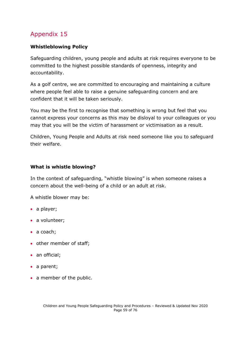## **Whistleblowing Policy**

Safeguarding children, young people and adults at risk requires everyone to be committed to the highest possible standards of openness, integrity and accountability.

As a golf centre, we are committed to encouraging and maintaining a culture where people feel able to raise a genuine safeguarding concern and are confident that it will be taken seriously.

You may be the first to recognise that something is wrong but feel that you cannot express your concerns as this may be disloyal to your colleagues or you may that you will be the victim of harassment or victimisation as a result.

Children, Young People and Adults at risk need someone like you to safeguard their welfare.

#### **What is whistle blowing?**

In the context of safeguarding, "whistle blowing" is when someone raises a concern about the well-being of a child or an adult at risk.

A whistle blower may be:

- a player;
- a volunteer;
- a coach;
- other member of staff;
- an official;
- a parent;
- a member of the public.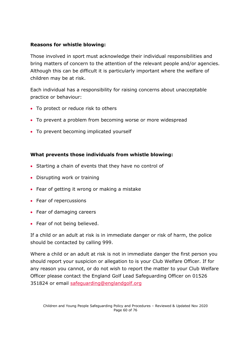#### **Reasons for whistle blowing:**

Those involved in sport must acknowledge their individual responsibilities and bring matters of concern to the attention of the relevant people and/or agencies. Although this can be difficult it is particularly important where the welfare of children may be at risk.

Each individual has a responsibility for raising concerns about unacceptable practice or behaviour:

- To protect or reduce risk to others
- To prevent a problem from becoming worse or more widespread
- To prevent becoming implicated yourself

#### **What prevents those individuals from whistle blowing:**

- Starting a chain of events that they have no control of
- Disrupting work or training
- Fear of getting it wrong or making a mistake
- Fear of repercussions
- Fear of damaging careers
- Fear of not being believed.

If a child or an adult at risk is in immediate danger or risk of harm, the police should be contacted by calling 999.

Where a child or an adult at risk is not in immediate danger the first person you should report your suspicion or allegation to is your Club Welfare Officer. If for any reason you cannot, or do not wish to report the matter to your Club Welfare Officer please contact the England Golf Lead Safeguarding Officer on 01526 351824 or email [safeguarding@englandgolf.org](mailto:safeguarding@englandgolf.org)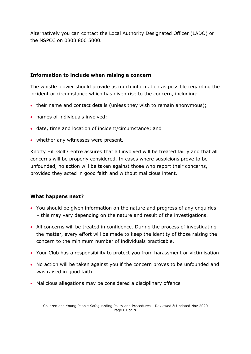Alternatively you can contact the Local Authority Designated Officer (LADO) or the NSPCC on 0808 800 5000.

#### **Information to include when raising a concern**

The whistle blower should provide as much information as possible regarding the incident or circumstance which has given rise to the concern, including:

- their name and contact details (unless they wish to remain anonymous);
- names of individuals involved;
- date, time and location of incident/circumstance; and
- whether any witnesses were present.

Knotty Hill Golf Centre assures that all involved will be treated fairly and that all concerns will be properly considered. In cases where suspicions prove to be unfounded, no action will be taken against those who report their concerns, provided they acted in good faith and without malicious intent.

#### **What happens next?**

- You should be given information on the nature and progress of any enquiries – this may vary depending on the nature and result of the investigations.
- All concerns will be treated in confidence. During the process of investigating the matter, every effort will be made to keep the identity of those raising the concern to the minimum number of individuals practicable.
- Your Club has a responsibility to protect you from harassment or victimisation
- No action will be taken against you if the concern proves to be unfounded and was raised in good faith
- Malicious allegations may be considered a disciplinary offence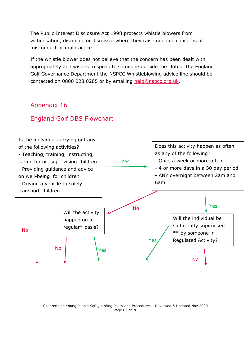The Public Interest Disclosure Act 1998 protects whistle blowers from victimisation, discipline or dismissal where they raise genuine concerns of misconduct or malpractice.

If the whistle blower does not believe that the concern has been dealt with appropriately and wishes to speak to someone outside the club or the England Golf Governance Department the NSPCC Whistleblowing advice line should be contacted on 0800 028 0285 or by emailing [help@nspcc.org.uk.](mailto:help@nspcc.org.uk)

# Appendix 16

# England Golf DBS Flowchart



Children and Young People Safeguarding Policy and Procedures – Reviewed & Updated Nov 2020 Page 62 of 76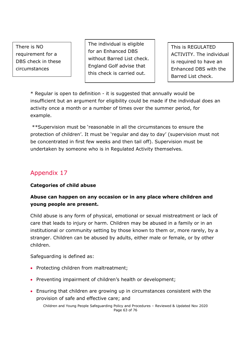There is NO requirement for a DBS check in these circumstances

The individual is eligible for an Enhanced DBS without Barred List check. England Golf advise that this check is carried out.

This is REGULATED ACTIVITY. The individual is required to have an Enhanced DBS with the Barred List check.

\* Regular is open to definition - it is suggested that annually would be insufficient but an argument for eligibility could be made if the individual does an activity once a month or a number of times over the summer period, for example.

\*\*Supervision must be 'reasonable in all the circumstances to ensure the protection of children'. It must be 'regular and day to day' (supervision must not be concentrated in first few weeks and then tail off). Supervision must be undertaken by someone who is in Regulated Activity themselves.

# Appendix 17

# **Categories of child abuse**

# **Abuse can happen on any occasion or in any place where children and young people are present.**

Child abuse is any form of physical, emotional or sexual mistreatment or lack of care that leads to injury or harm. Children may be abused in a family or in an institutional or community setting by those known to them or, more rarely, by a stranger. Children can be abused by adults, either male or female, or by other children.

Safeguarding is defined as:

- Protecting children from maltreatment;
- Preventing impairment of children's health or development;
- Ensuring that children are growing up in circumstances consistent with the provision of safe and effective care; and

Children and Young People Safeguarding Policy and Procedures – Reviewed & Updated Nov 2020 Page 63 of 76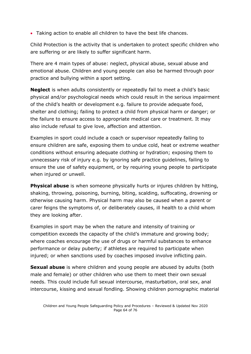• Taking action to enable all children to have the best life chances.

Child Protection is the activity that is undertaken to protect specific children who are suffering or are likely to suffer significant harm.

There are 4 main types of abuse: neglect, physical abuse, sexual abuse and emotional abuse. Children and young people can also be harmed through poor practice and bullying within a sport setting.

**Neglect** is when adults consistently or repeatedly fail to meet a child's basic physical and/or psychological needs which could result in the serious impairment of the child's health or development e.g. failure to provide adequate food, shelter and clothing; failing to protect a child from physical harm or danger; or the failure to ensure access to appropriate medical care or treatment. It may also include refusal to give love, affection and attention.

Examples in sport could include a coach or supervisor repeatedly failing to ensure children are safe, exposing them to undue cold, heat or extreme weather conditions without ensuring adequate clothing or hydration; exposing them to unnecessary risk of injury e.g. by ignoring safe practice guidelines, failing to ensure the use of safety equipment, or by requiring young people to participate when injured or unwell.

**Physical abuse** is when someone physically hurts or injures children by hitting, shaking, throwing, poisoning, burning, biting, scalding, suffocating, drowning or otherwise causing harm. Physical harm may also be caused when a parent or carer feigns the symptoms of, or deliberately causes, ill health to a child whom they are looking after.

Examples in sport may be when the nature and intensity of training or competition exceeds the capacity of the child's immature and growing body; where coaches encourage the use of drugs or harmful substances to enhance performance or delay puberty; if athletes are required to participate when injured; or when sanctions used by coaches imposed involve inflicting pain.

**Sexual abuse** is where children and young people are abused by adults (both male and female) or other children who use them to meet their own sexual needs. This could include full sexual intercourse, masturbation, oral sex, anal intercourse, kissing and sexual fondling. Showing children pornographic material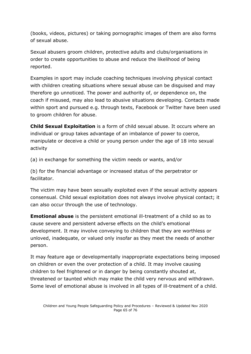(books, videos, pictures) or taking pornographic images of them are also forms of sexual abuse.

Sexual abusers groom children, protective adults and clubs/organisations in order to create opportunities to abuse and reduce the likelihood of being reported.

Examples in sport may include coaching techniques involving physical contact with children creating situations where sexual abuse can be disguised and may therefore go unnoticed. The power and authority of, or dependence on, the coach if misused, may also lead to abusive situations developing. Contacts made within sport and pursued e.g. through texts, Facebook or Twitter have been used to groom children for abuse.

**Child Sexual Exploitation** is a form of child sexual abuse. It occurs where an individual or group takes advantage of an imbalance of power to coerce, manipulate or deceive a child or young person under the age of 18 into sexual activity

(a) in exchange for something the victim needs or wants, and/or

(b) for the financial advantage or increased status of the perpetrator or facilitator.

The victim may have been sexually exploited even if the sexual activity appears consensual. Child sexual exploitation does not always involve physical contact; it can also occur through the use of technology.

**Emotional abuse** is the persistent emotional ill-treatment of a child so as to cause severe and persistent adverse effects on the child's emotional development. It may involve conveying to children that they are worthless or unloved, inadequate, or valued only insofar as they meet the needs of another person.

It may feature age or developmentally inappropriate expectations being imposed on children or even the over protection of a child. It may involve causing children to feel frightened or in danger by being constantly shouted at, threatened or taunted which may make the child very nervous and withdrawn. Some level of emotional abuse is involved in all types of ill-treatment of a child.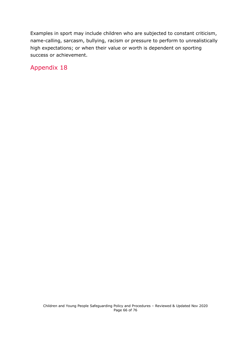Examples in sport may include children who are subjected to constant criticism, name-calling, sarcasm, bullying, racism or pressure to perform to unrealistically high expectations; or when their value or worth is dependent on sporting success or achievement.

Appendix 18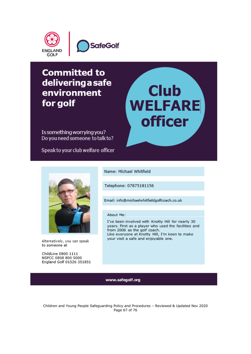

# **Committed to** delivering a safe environment for golf

Is something worrying you? Do you need someone to talk to?

Speak to your club welfare officer



Alternatively, you can speak to someone at

ChildLine 0800 1111 NSPCC 0808 800 5000 England Golf 01526 351851 Name: Michael Whitfield

Telephone: 07875181156

Email: info@michaelwhitfieldgolfcoach.co.uk

#### About Me:

I've been involved with Knotty Hill for nearly 30 years. First as a player who used the facilities and from 2006 as the golf coach. Like everyone at Knotty Hill, I'm keen to make your visit a safe and enjoyable one.

**Club** 

**WELFARE** 

**officer** 

#### www.safegolf.org

Children and Young People Safeguarding Policy and Procedures – Reviewed & Updated Nov 2020 Page 67 of 76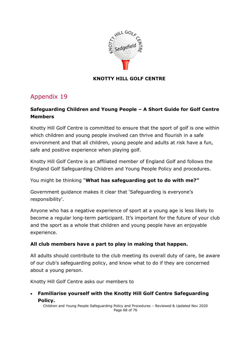

## **KNOTTY HILL GOLF CENTRE**

# Appendix 19

# **Safeguarding Children and Young People – A Short Guide for Golf Centre Members**

Knotty Hill Golf Centre is committed to ensure that the sport of golf is one within which children and young people involved can thrive and flourish in a safe environment and that all children, young people and adults at risk have a fun, safe and positive experience when playing golf.

Knotty Hill Golf Centre is an affiliated member of England Golf and follows the England Golf Safeguarding Children and Young People Policy and procedures.

You might be thinking "**What has safeguarding got to do with me?"**

Government guidance makes it clear that 'Safeguarding is everyone's responsibility'.

Anyone who has a negative experience of sport at a young age is less likely to become a regular long-term participant. It's important for the future of your club and the sport as a whole that children and young people have an enjoyable experience.

# **All club members have a part to play in making that happen.**

All adults should contribute to the club meeting its overall duty of care, be aware of our club's safeguarding policy, and know what to do if they are concerned about a young person.

Knotty Hill Golf Centre asks our members to

• **Familiarise yourself with the Knotty Hill Golf Centre Safeguarding Policy.** 

Children and Young People Safeguarding Policy and Procedures – Reviewed & Updated Nov 2020 Page 68 of 76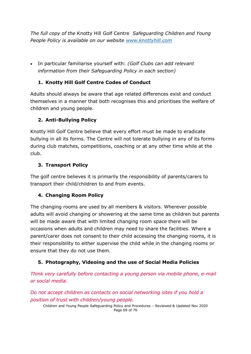*The full copy of the* Knotty Hill Golf Centre *Safeguarding Children and Young People Policy is available on our website [www.knottyhill.com](http://www.knottyhill.com/)*

• In particular familiarise yourself with: *(Golf Clubs can add relevant information from their Safeguarding Policy in each section)*

# **1. Knotty Hill Golf Centre Codes of Conduct**

Adults should always be aware that age related differences exist and conduct themselves in a manner that both recognises this and prioritises the welfare of children and young people.

# **2. Anti-Bullying Policy**

Knotty Hill Golf Centre believe that every effort must be made to eradicate bullying in all its forms. The Centre will not tolerate bullying in any of its forms during club matches, competitions, coaching or at any other time while at the club.

# **3. Transport Policy**

The golf centre believes it is primarily the responsibility of parents/carers to transport their child/children to and from events.

# **4. Changing Room Policy**

The changing rooms are used by all members & visitors. Wherever possible adults will avoid changing or showering at the same time as children but parents will be made aware that with limited changing room space there will be occasions when adults and children may need to share the facilities. Where a parent/carer does not consent to their child accessing the changing rooms, it is their responsibility to either supervise the child while in the changing rooms or ensure that they do not use them*.* 

# **5. Photography, Videoing and the use of Social Media Policies**

*Think very carefully before contacting a young person via mobile phone, e-mail or social media.* 

*Do not accept children as contacts on social networking sites if you hold a position of trust with children/young people.*

Children and Young People Safeguarding Policy and Procedures – Reviewed & Updated Nov 2020 Page 69 of 76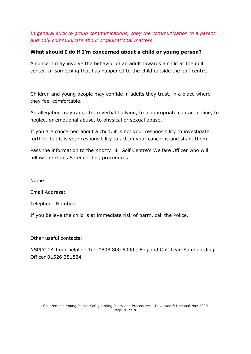## *In general stick to group communications, copy the communication to a parent and only communicate about organisational matters.*

## **What should I do if I'm concerned about a child or young person?**

A concern may involve the behavior of an adult towards a child at the golf center, or something that has happened to the child outside the golf centre.

Children and young people may confide in adults they trust, in a place where they feel comfortable.

An allegation may range from verbal bullying, to inappropriate contact online, to neglect or emotional abuse, to physical or sexual abuse.

If you are concerned about a child, it is not your responsibility to investigate further, but it is your responsibility to act on your concerns and share them.

Pass the information to the Knotty Hill Golf Centre's Welfare Officer who will follow the club's Safeguarding procedures.

Name:

Email Address:

Telephone Number:

If you believe the child is at immediate risk of harm, call the Police.

Other useful contacts:

NSPCC 24-hour helpline Tel: 0808 800 5000 | England Golf Lead Safeguarding Officer 01526 351824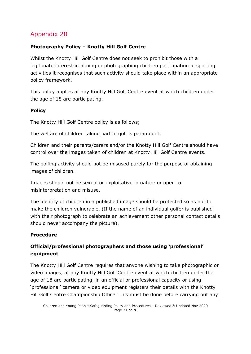# **Photography Policy – Knotty Hill Golf Centre**

Whilst the Knotty Hill Golf Centre does not seek to prohibit those with a legitimate interest in filming or photographing children participating in sporting activities it recognises that such activity should take place within an appropriate policy framework.

This policy applies at any Knotty Hill Golf Centre event at which children under the age of 18 are participating.

# **Policy**

The Knotty Hill Golf Centre policy is as follows;

The welfare of children taking part in golf is paramount.

Children and their parents/carers and/or the Knotty Hill Golf Centre should have control over the images taken of children at Knotty Hill Golf Centre events.

The golfing activity should not be misused purely for the purpose of obtaining images of children.

Images should not be sexual or exploitative in nature or open to misinterpretation and misuse.

The identity of children in a published image should be protected so as not to make the children vulnerable. (If the name of an individual golfer is published with their photograph to celebrate an achievement other personal contact details should never accompany the picture).

# **Procedure**

# **Official/professional photographers and those using 'professional' equipment**

The Knotty Hill Golf Centre requires that anyone wishing to take photographic or video images, at any Knotty Hill Golf Centre event at which children under the age of 18 are participating, in an official or professional capacity or using 'professional' camera or video equipment registers their details with the Knotty Hill Golf Centre Championship Office. This must be done before carrying out any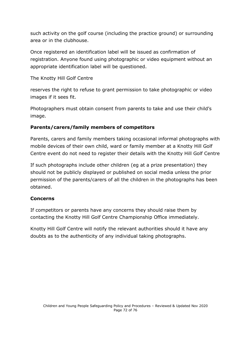such activity on the golf course (including the practice ground) or surrounding area or in the clubhouse.

Once registered an identification label will be issued as confirmation of registration. Anyone found using photographic or video equipment without an appropriate identification label will be questioned.

## The Knotty Hill Golf Centre

reserves the right to refuse to grant permission to take photographic or video images if it sees fit.

Photographers must obtain consent from parents to take and use their child's image.

# **Parents/carers/family members of competitors**

Parents, carers and family members taking occasional informal photographs with mobile devices of their own child, ward or family member at a Knotty Hill Golf Centre event do not need to register their details with the Knotty Hill Golf Centre

If such photographs include other children (eg at a prize presentation) they should not be publicly displayed or published on social media unless the prior permission of the parents/carers of all the children in the photographs has been obtained.

#### **Concerns**

If competitors or parents have any concerns they should raise them by contacting the Knotty Hill Golf Centre Championship Office immediately.

Knotty Hill Golf Centre will notify the relevant authorities should it have any doubts as to the authenticity of any individual taking photographs.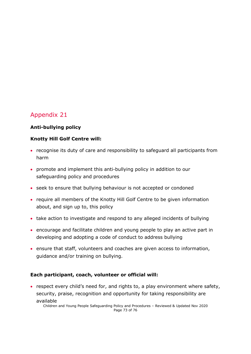# Appendix 21

# **Anti-bullying policy**

#### **Knotty Hill Golf Centre will:**

- recognise its duty of care and responsibility to safeguard all participants from harm
- promote and implement this anti-bullying policy in addition to our safeguarding policy and procedures
- seek to ensure that bullying behaviour is not accepted or condoned
- require all members of the Knotty Hill Golf Centre to be given information about, and sign up to, this policy
- take action to investigate and respond to any alleged incidents of bullying
- encourage and facilitate children and young people to play an active part in developing and adopting a code of conduct to address bullying
- ensure that staff, volunteers and coaches are given access to information, guidance and/or training on bullying.

## **Each participant, coach, volunteer or official will:**

• respect every child's need for, and rights to, a play environment where safety, security, praise, recognition and opportunity for taking responsibility are available

Children and Young People Safeguarding Policy and Procedures – Reviewed & Updated Nov 2020 Page 73 of 76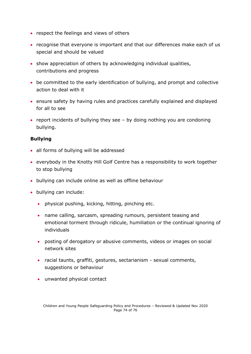- respect the feelings and views of others
- recognise that everyone is important and that our differences make each of us special and should be valued
- show appreciation of others by acknowledging individual qualities, contributions and progress
- be committed to the early identification of bullying, and prompt and collective action to deal with it
- ensure safety by having rules and practices carefully explained and displayed for all to see
- report incidents of bullying they see by doing nothing you are condoning bullying.

## **Bullying**

- all forms of bullying will be addressed
- everybody in the Knotty Hill Golf Centre has a responsibility to work together to stop bullying
- bullying can include online as well as offline behaviour
- bullying can include:
	- physical pushing, kicking, hitting, pinching etc.
	- name calling, sarcasm, spreading rumours, persistent teasing and emotional torment through ridicule, humiliation or the continual ignoring of individuals
	- posting of derogatory or abusive comments, videos or images on social network sites
	- racial taunts, graffiti, gestures, sectarianism sexual comments, suggestions or behaviour
	- unwanted physical contact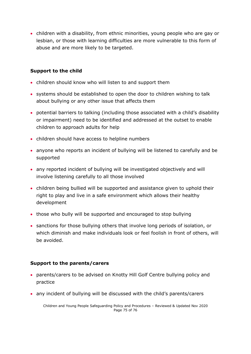• children with a disability, from ethnic minorities, young people who are gay or lesbian, or those with learning difficulties are more vulnerable to this form of abuse and are more likely to be targeted.

### **Support to the child**

- children should know who will listen to and support them
- systems should be established to open the door to children wishing to talk about bullying or any other issue that affects them
- potential barriers to talking (including those associated with a child's disability or impairment) need to be identified and addressed at the outset to enable children to approach adults for help
- children should have access to helpline numbers
- anyone who reports an incident of bullying will be listened to carefully and be supported
- any reported incident of bullying will be investigated objectively and will involve listening carefully to all those involved
- children being bullied will be supported and assistance given to uphold their right to play and live in a safe environment which allows their healthy development
- those who bully will be supported and encouraged to stop bullying
- sanctions for those bullying others that involve long periods of isolation, or which diminish and make individuals look or feel foolish in front of others, will be avoided.

#### **Support to the parents/carers**

- parents/carers to be advised on Knotty Hill Golf Centre bullying policy and practice
- any incident of bullying will be discussed with the child's parents/carers

Children and Young People Safeguarding Policy and Procedures – Reviewed & Updated Nov 2020 Page 75 of 76